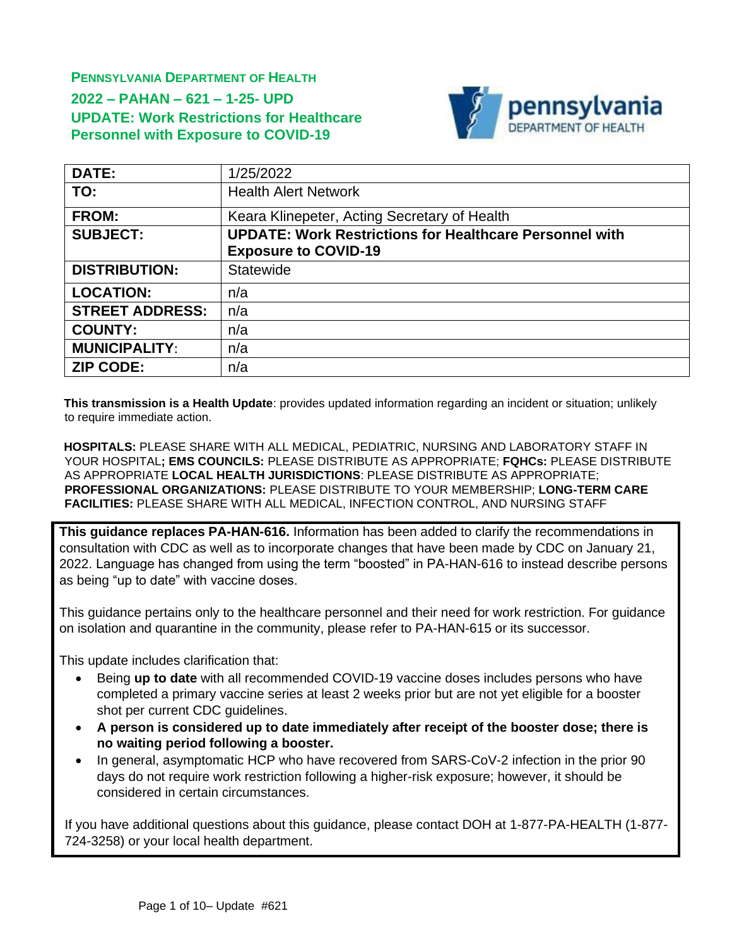**PENNSYLVANIA DEPARTMENT OF HEALTH 2022 – PAHAN – 621 – 1-25- UPD UPDATE: Work Restrictions for Healthcare Personnel with Exposure to COVID-19**



| <b>DATE:</b>           | 1/25/2022                                                      |  |
|------------------------|----------------------------------------------------------------|--|
| TO:                    | <b>Health Alert Network</b>                                    |  |
| <b>FROM:</b>           | Keara Klinepeter, Acting Secretary of Health                   |  |
| <b>SUBJECT:</b>        | <b>UPDATE: Work Restrictions for Healthcare Personnel with</b> |  |
|                        | <b>Exposure to COVID-19</b>                                    |  |
| <b>DISTRIBUTION:</b>   | Statewide                                                      |  |
| <b>LOCATION:</b>       | n/a                                                            |  |
| <b>STREET ADDRESS:</b> | n/a                                                            |  |
| <b>COUNTY:</b>         | n/a                                                            |  |
| <b>MUNICIPALITY:</b>   | n/a                                                            |  |
| <b>ZIP CODE:</b>       | n/a                                                            |  |

**This transmission is a Health Update**: provides updated information regarding an incident or situation; unlikely to require immediate action.

**HOSPITALS:** PLEASE SHARE WITH ALL MEDICAL, PEDIATRIC, NURSING AND LABORATORY STAFF IN YOUR HOSPITAL**; EMS COUNCILS:** PLEASE DISTRIBUTE AS APPROPRIATE; **FQHCs:** PLEASE DISTRIBUTE AS APPROPRIATE **LOCAL HEALTH JURISDICTIONS**: PLEASE DISTRIBUTE AS APPROPRIATE; **PROFESSIONAL ORGANIZATIONS:** PLEASE DISTRIBUTE TO YOUR MEMBERSHIP; **LONG-TERM CARE FACILITIES:** PLEASE SHARE WITH ALL MEDICAL, INFECTION CONTROL, AND NURSING STAFF

**This guidance replaces PA-HAN-616.** Information has been added to clarify the recommendations in consultation with CDC as well as to incorporate changes that have been made by CDC on January 21, 2022. Language has changed from using the term "boosted" in PA-HAN-616 to instead describe persons as being "up to date" with vaccine doses.

This guidance pertains only to the healthcare personnel and their need for work restriction. For guidance on isolation and quarantine in the community, please refer to PA-HAN-615 or its successor.

This update includes clarification that:

- Being **up to date** with all recommended [COVID-19 vaccine doses](https://www.cdc.gov/vaccines/covid-19/clinical-considerations/covid-19-vaccines-us.html) includes persons who have completed a primary vaccine series at least 2 weeks prior but are not yet eligible for a booster shot per current CDC guidelines.
- **A person is considered up to date immediately after receipt of the booster dose; there is no waiting period following a booster.**
- In general, asymptomatic HCP who have recovered from SARS-CoV-2 infection in the prior 90 days do not require work restriction following a higher-risk exposure; however, it should be considered in certain circumstances.

If you have additional questions about this guidance, please contact DOH at 1-877-PA-HEALTH (1-877- 724-3258) or your local health department.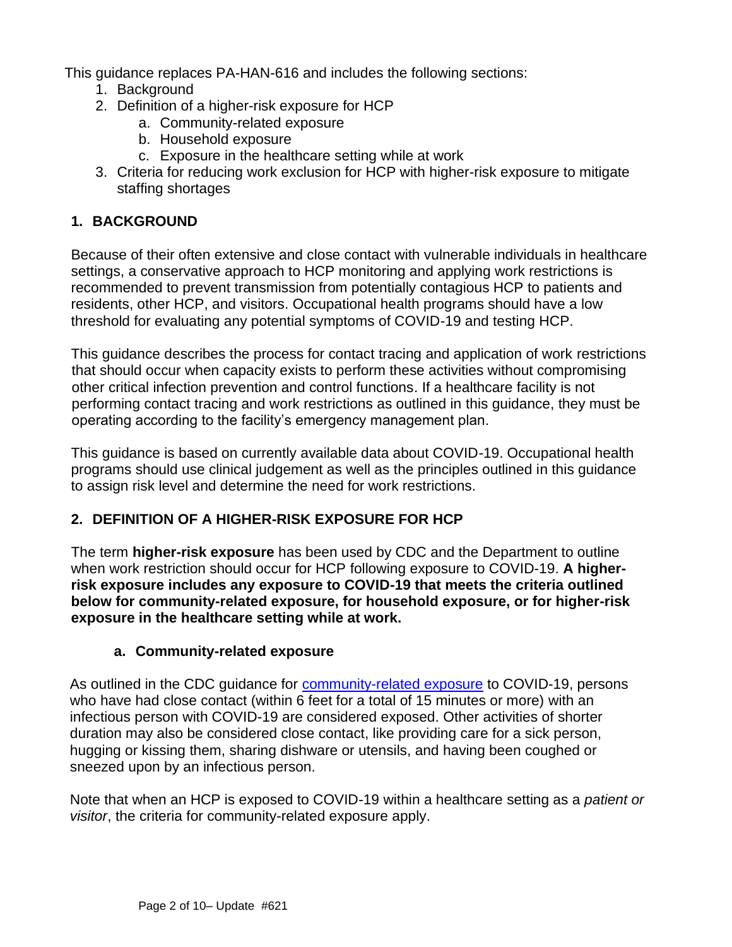This guidance replaces PA-HAN-616 and includes the following sections:

- 1. Background
- 2. Definition of a higher-risk exposure for HCP
	- a. Community-related exposure
	- b. Household exposure
	- c. Exposure in the healthcare setting while at work
- 3. Criteria for reducing work exclusion for HCP with higher-risk exposure to mitigate staffing shortages

### **1. BACKGROUND**

Because of their often extensive and close contact with vulnerable individuals in healthcare settings, a conservative approach to HCP monitoring and applying work restrictions is recommended to prevent transmission from potentially contagious HCP to patients and residents, other HCP, and visitors. Occupational health programs should have a low threshold for evaluating any potential symptoms of COVID-19 and testing HCP.

This guidance describes the process for contact tracing and application of work restrictions that should occur when capacity exists to perform these activities without compromising other critical infection prevention and control functions. If a healthcare facility is not performing contact tracing and work restrictions as outlined in this guidance, they must be operating according to the facility's emergency management plan.

This guidance is based on currently available data about COVID-19. Occupational health programs should use clinical judgement as well as the principles outlined in this guidance to assign risk level and determine the need for work restrictions.

## **2. DEFINITION OF A HIGHER-RISK EXPOSURE FOR HCP**

The term **higher-risk exposure** has been used by CDC and the Department to outline when work restriction should occur for HCP following exposure to COVID-19. **A higherrisk exposure includes any exposure to COVID-19 that meets the criteria outlined below for community-related exposure, for household exposure, or for higher-risk exposure in the healthcare setting while at work.**

### **a. Community-related exposure**

As outlined in the CDC guidance for [community-related exposure](https://www.cdc.gov/coronavirus/2019-ncov/php/contact-tracing/contact-tracing-plan/appendix.html#contact) to COVID-19, persons who have had close contact (within 6 feet for a total of 15 minutes or more) with an infectious person with COVID-19 are considered exposed. Other activities of shorter duration may also be considered close contact, like providing care for a sick person, hugging or kissing them, sharing dishware or utensils, and having been coughed or sneezed upon by an infectious person.

Note that when an HCP is exposed to COVID-19 within a healthcare setting as a *patient or visitor*, the criteria for community-related exposure apply.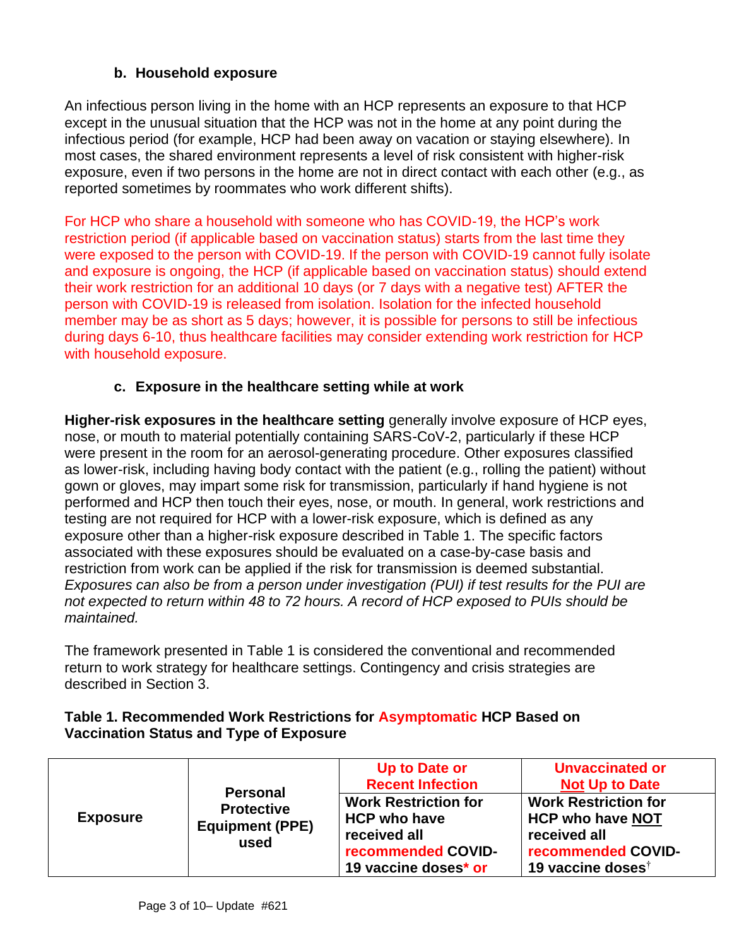# **b. Household exposure**

An infectious person living in the home with an HCP represents an exposure to that HCP except in the unusual situation that the HCP was not in the home at any point during the infectious period (for example, HCP had been away on vacation or staying elsewhere). In most cases, the shared environment represents a level of risk consistent with higher-risk exposure, even if two persons in the home are not in direct contact with each other (e.g., as reported sometimes by roommates who work different shifts).

For HCP who share a household with someone who has COVID-19, the HCP's work restriction period (if applicable based on vaccination status) starts from the last time they were exposed to the person with COVID-19. If the person with COVID-19 cannot fully isolate and exposure is ongoing, the HCP (if applicable based on vaccination status) should extend their work restriction for an additional 10 days (or 7 days with a negative test) AFTER the person with COVID-19 is released from isolation. Isolation for the infected household member may be as short as 5 days; however, it is possible for persons to still be infectious during days 6-10, thus healthcare facilities may consider extending work restriction for HCP with household exposure.

# **c. Exposure in the healthcare setting while at work**

**Higher-risk exposures in the healthcare setting** generally involve exposure of HCP eyes, nose, or mouth to material potentially containing SARS-CoV-2, particularly if these HCP were present in the room for an aerosol-generating procedure. Other exposures classified as lower-risk, including having body contact with the patient (e.g., rolling the patient) without gown or gloves, may impart some risk for transmission, particularly if hand hygiene is not performed and HCP then touch their eyes, nose, or mouth. In general, work restrictions and testing are not required for HCP with a lower-risk exposure, which is defined as any exposure other than a higher-risk exposure described in Table 1. The specific factors associated with these exposures should be evaluated on a case-by-case basis and restriction from work can be applied if the risk for transmission is deemed substantial. *Exposures can also be from a person under investigation (PUI) if test results for the PUI are not expected to return within 48 to 72 hours. A record of HCP exposed to PUIs should be maintained.*

The framework presented in Table 1 is considered the conventional and recommended return to work strategy for healthcare settings. Contingency and crisis strategies are described in Section 3.

|                 | <b>Personal</b>                                     | Up to Date or<br><b>Recent Infection</b>                                                                         | <b>Unvaccinated or</b><br><b>Not Up to Date</b>                                                                               |
|-----------------|-----------------------------------------------------|------------------------------------------------------------------------------------------------------------------|-------------------------------------------------------------------------------------------------------------------------------|
| <b>Exposure</b> | <b>Protective</b><br><b>Equipment (PPE)</b><br>used | <b>Work Restriction for</b><br><b>HCP who have</b><br>received all<br>recommended COVID-<br>19 vaccine doses* or | <b>Work Restriction for</b><br><b>HCP who have NOT</b><br>received all<br>recommended COVID-<br>19 vaccine doses <sup>†</sup> |

## **Table 1. Recommended Work Restrictions for Asymptomatic HCP Based on Vaccination Status and Type of Exposure**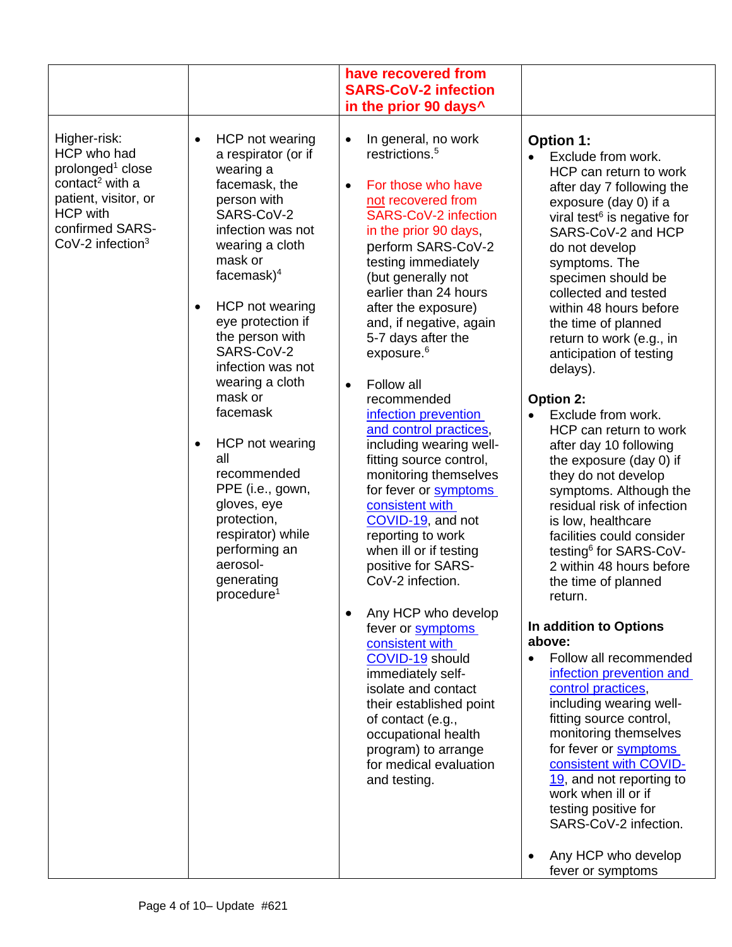|                                                                                                                                                                                            |                                                                                                                                                                                                                                                                                                                                                                                                                                                                                                                                            | have recovered from<br><b>SARS-CoV-2 infection</b><br>in the prior 90 days <sup>^</sup>                                                                                                                                                                                                                                                                                                                                                                                                                                                                                                                                                                                                                                                                                                                                                                                                                                                                                                               |                                                                                                                                                                                                                                                                                                                                                                                                                                                                                                                                                                                                                                                                                                                                                                                                                                                                                                                                                                                                                                                                                                                                                                     |
|--------------------------------------------------------------------------------------------------------------------------------------------------------------------------------------------|--------------------------------------------------------------------------------------------------------------------------------------------------------------------------------------------------------------------------------------------------------------------------------------------------------------------------------------------------------------------------------------------------------------------------------------------------------------------------------------------------------------------------------------------|-------------------------------------------------------------------------------------------------------------------------------------------------------------------------------------------------------------------------------------------------------------------------------------------------------------------------------------------------------------------------------------------------------------------------------------------------------------------------------------------------------------------------------------------------------------------------------------------------------------------------------------------------------------------------------------------------------------------------------------------------------------------------------------------------------------------------------------------------------------------------------------------------------------------------------------------------------------------------------------------------------|---------------------------------------------------------------------------------------------------------------------------------------------------------------------------------------------------------------------------------------------------------------------------------------------------------------------------------------------------------------------------------------------------------------------------------------------------------------------------------------------------------------------------------------------------------------------------------------------------------------------------------------------------------------------------------------------------------------------------------------------------------------------------------------------------------------------------------------------------------------------------------------------------------------------------------------------------------------------------------------------------------------------------------------------------------------------------------------------------------------------------------------------------------------------|
| Higher-risk:<br>HCP who had<br>prolonged <sup>1</sup> close<br>contact <sup>2</sup> with a<br>patient, visitor, or<br><b>HCP with</b><br>confirmed SARS-<br>$CoV-2$ infection <sup>3</sup> | HCP not wearing<br>$\bullet$<br>a respirator (or if<br>wearing a<br>facemask, the<br>person with<br>SARS-CoV-2<br>infection was not<br>wearing a cloth<br>mask or<br>facemask $)^4$<br>HCP not wearing<br>$\bullet$<br>eye protection if<br>the person with<br>SARS-CoV-2<br>infection was not<br>wearing a cloth<br>mask or<br>facemask<br>HCP not wearing<br>$\bullet$<br>all<br>recommended<br>PPE (i.e., gown,<br>gloves, eye<br>protection,<br>respirator) while<br>performing an<br>aerosol-<br>generating<br>procedure <sup>1</sup> | In general, no work<br>$\bullet$<br>restrictions. <sup>5</sup><br>For those who have<br>$\bullet$<br>not recovered from<br><b>SARS-CoV-2 infection</b><br>in the prior 90 days,<br>perform SARS-CoV-2<br>testing immediately<br>(but generally not<br>earlier than 24 hours<br>after the exposure)<br>and, if negative, again<br>5-7 days after the<br>exposure. <sup>6</sup><br>Follow all<br>$\bullet$<br>recommended<br>infection prevention<br>and control practices,<br>including wearing well-<br>fitting source control,<br>monitoring themselves<br>for fever or symptoms<br>consistent with<br>COVID-19, and not<br>reporting to work<br>when ill or if testing<br>positive for SARS-<br>CoV-2 infection.<br>Any HCP who develop<br>$\bullet$<br>fever or symptoms<br>consistent with<br>COVID-19 should<br>immediately self-<br>isolate and contact<br>their established point<br>of contact (e.g.,<br>occupational health<br>program) to arrange<br>for medical evaluation<br>and testing. | <b>Option 1:</b><br>Exclude from work.<br>HCP can return to work<br>after day 7 following the<br>exposure (day 0) if a<br>viral test <sup>6</sup> is negative for<br>SARS-CoV-2 and HCP<br>do not develop<br>symptoms. The<br>specimen should be<br>collected and tested<br>within 48 hours before<br>the time of planned<br>return to work (e.g., in<br>anticipation of testing<br>delays).<br>Option 2:<br>Exclude from work.<br>HCP can return to work<br>after day 10 following<br>the exposure (day 0) if<br>they do not develop<br>symptoms. Although the<br>residual risk of infection<br>is low, healthcare<br>facilities could consider<br>testing <sup>6</sup> for SARS-CoV-<br>2 within 48 hours before<br>the time of planned<br>return.<br>In addition to Options<br>above:<br>Follow all recommended<br>$\bullet$<br>infection prevention and<br>control practices,<br>including wearing well-<br>fitting source control,<br>monitoring themselves<br>for fever or symptoms<br>consistent with COVID-<br>19, and not reporting to<br>work when ill or if<br>testing positive for<br>SARS-CoV-2 infection.<br>Any HCP who develop<br>fever or symptoms |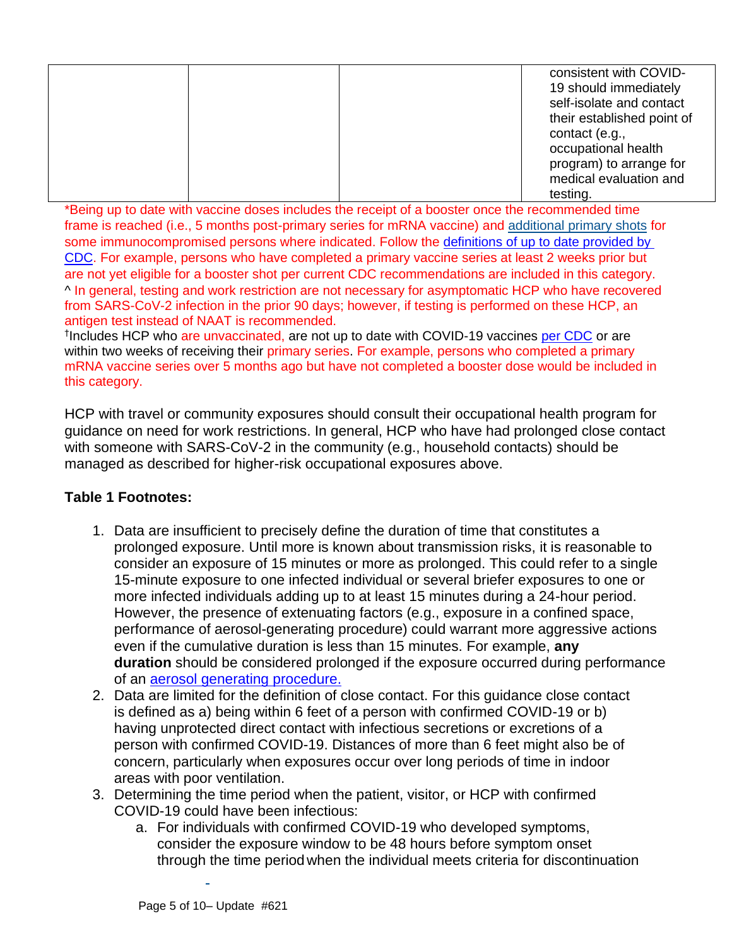|  | consistent with COVID-<br>19 should immediately<br>self-isolate and contact<br>their established point of |
|--|-----------------------------------------------------------------------------------------------------------|
|  | contact (e.g.,<br>occupational health<br>program) to arrange for<br>medical evaluation and                |
|  | testing.                                                                                                  |

\*Being up to date with vaccine doses includes the receipt of a booster once the recommended time frame is reached (i.e., 5 months post-primary series for mRNA vaccine) and [additional primary shots](https://www.cdc.gov/coronavirus/2019-ncov/vaccines/recommendations/immuno.html) for some immunocompromised persons where indicated. Follow the [definitions of up to date provided by](https://www.cdc.gov/coronavirus/2019-ncov/vaccines/stay-up-to-date.html)  [CDC.](https://www.cdc.gov/coronavirus/2019-ncov/vaccines/stay-up-to-date.html) For example, persons who have completed a primary vaccine series at least 2 weeks prior but are not yet eligible for a booster shot per current CDC recommendations are included in this category. ^ In general, testing and work restriction are not necessary for asymptomatic HCP who have recovered from SARS-CoV-2 infection in the prior 90 days; however, if testing is performed on these HCP, an antigen test instead of NAAT is recommended.

<sup>†</sup>Includes HCP who are unvaccinated, are not up to date with COVID-19 vaccines [per CDC](https://www.cdc.gov/coronavirus/2019-ncov/vaccines/stay-up-to-date.html) or are within two weeks of receiving their primary series. For example, persons who completed a primary mRNA vaccine series over 5 months ago but have not completed a booster dose would be included in this category.

HCP with travel or community exposures should consult their occupational health program for guidance on need for work restrictions. In general, HCP who have had prolonged close contact with someone with SARS-CoV-2 in the community (e.g., household contacts) should be managed as described for higher-risk occupational exposures above.

## **Table 1 Footnotes:**

- 1. Data are insufficient to precisely define the duration of time that constitutes a prolonged exposure. Until more is known about transmission risks, it is reasonable to consider an exposure of 15 minutes or more as prolonged. This could refer to a single 15-minute exposure to one infected individual or several briefer exposures to one or more infected individuals adding up to at least 15 minutes during a 24-hour period. However, the presence of extenuating factors (e.g., exposure in a confined space, performance of aerosol-generating procedure) could warrant more aggressive actions even if the cumulative duration is less than 15 minutes. For example, **any duration** should be considered prolonged if the exposure occurred during performance of an [aerosol generating procedure.](https://www.cdc.gov/coronavirus/2019-ncov/hcp/faq.html)
- 2. Data are limited for the definition of close contact. For this guidance close contact is defined as a) being within 6 feet of a person with confirmed COVID-19 or b) having unprotected direct contact with infectious secretions or excretions of a person with confirmed COVID-19. Distances of more than 6 feet might also be of concern, particularly when exposures occur over long periods of time in indoor areas with poor ventilation.
- 3. Determining the time period when the patient, visitor, or HCP with confirmed COVID-19 could have been infectious:
	- a. For individuals with confirmed COVID-19 who developed symptoms, consider the exposure window to be 48 hours before symptom onset through the time period when the individual meets criteria for discontinuation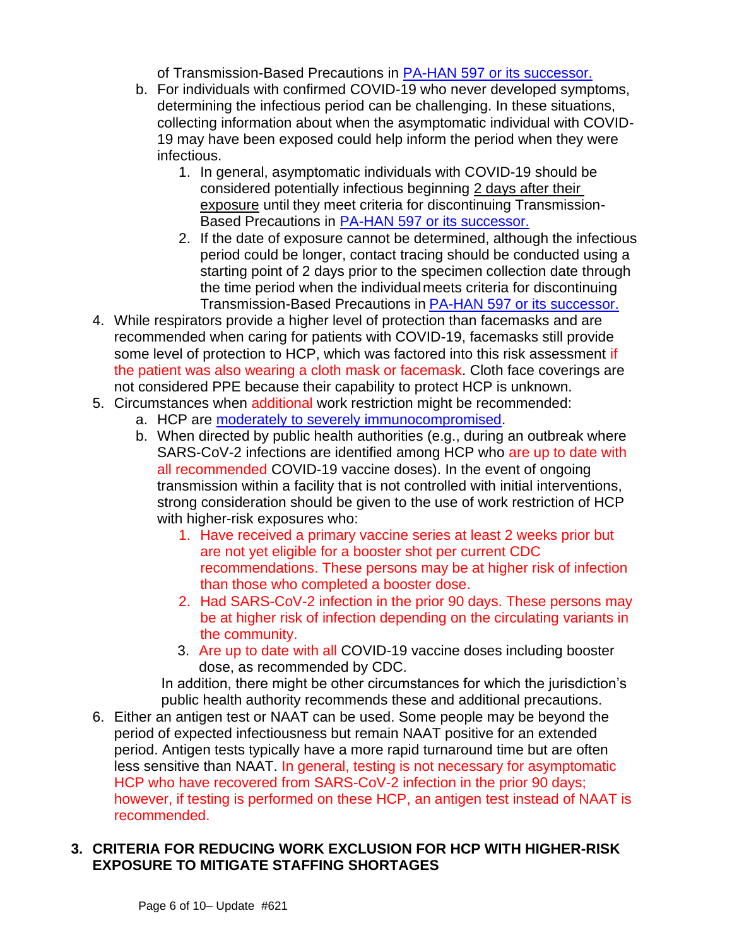of Transmission-Based Precautions in [PA-HAN 597 or its successor.](https://www.health.pa.gov/topics/Documents/HAN/2021-597-9-21-UPD-IPC%20for%20Healthcare.pdf)

- b. For individuals with confirmed COVID-19 who never developed symptoms, determining the infectious period can be challenging. In these situations, collecting information about when the asymptomatic individual with COVID-19 may have been exposed could help inform the period when they were infectious.
	- 1. In general, asymptomatic individuals with COVID-19 should be considered potentially infectious beginning 2 days after their exposure until they meet criteria for discontinuing Transmission-Based Precautions in [PA-HAN 597 or its successor.](https://www.health.pa.gov/topics/Documents/HAN/2021-597-9-21-UPD-IPC%20for%20Healthcare.pdf)
	- 2. If the date of exposure cannot be determined, although the infectious period could be longer, contact tracing should be conducted using a starting point of 2 days prior to the specimen collection date through the time period when the individualmeets criteria for discontinuing Transmission-Based Precautions in [PA-HAN 597 or its successor.](https://www.health.pa.gov/topics/Documents/HAN/2021-597-9-21-UPD-IPC%20for%20Healthcare.pdf)
- 4. While respirators provide a higher level of protection than facemasks and are recommended when caring for patients with COVID-19, facemasks still provide some level of protection to HCP, which was factored into this risk assessment if the patient was also wearing a cloth mask or facemask. Cloth face coverings are not considered PPE because their capability to protect HCP is unknown.
- 5. Circumstances when additional work restriction might be recommended:
	- a. HCP are [moderately to severely immunocompromised.](#page-8-0)
	- b. When directed by public health authorities (e.g., during an outbreak where SARS-CoV-2 infections are identified among HCP who are up to date with all recommended COVID-19 vaccine doses). In the event of ongoing transmission within a facility that is not controlled with initial interventions, strong consideration should be given to the use of work restriction of HCP with higher-risk exposures who:
		- 1. Have received a primary vaccine series at least 2 weeks prior but are not yet eligible for a booster shot per current CDC recommendations. These persons may be at higher risk of infection than those who completed a booster dose.
		- 2. Had SARS-CoV-2 infection in the prior 90 days. These persons may be at higher risk of infection depending on the circulating variants in the community.
		- 3. Are up to date with all COVID-19 vaccine doses including booster dose, as recommended by CDC.

In addition, there might be other circumstances for which the jurisdiction's public health authority recommends these and additional precautions.

6. Either an antigen test or NAAT can be used. Some people may be beyond the period of expected infectiousness but remain NAAT positive for an extended period. Antigen tests typically have a more rapid turnaround time but are often less sensitive than NAAT. In general, testing is not necessary for asymptomatic HCP who have recovered from SARS-CoV-2 infection in the prior 90 days; however, if testing is performed on these HCP, an antigen test instead of NAAT is recommended.

### **3. CRITERIA FOR REDUCING WORK EXCLUSION FOR HCP WITH HIGHER-RISK EXPOSURE TO MITIGATE STAFFING SHORTAGES**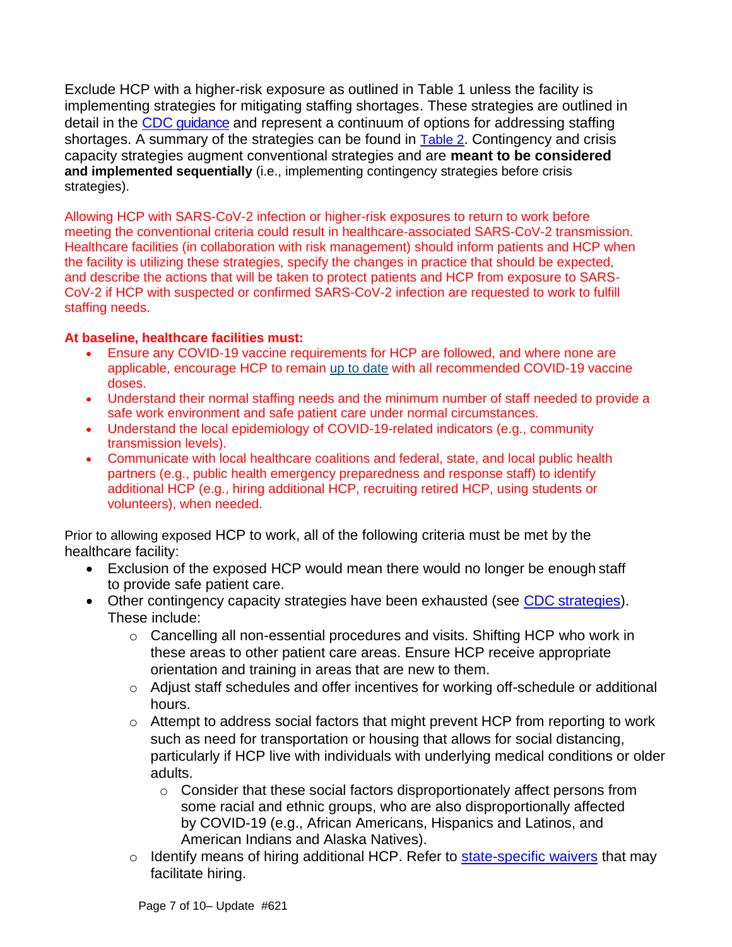Exclude HCP with a higher-risk exposure as outlined in Table 1 unless the facility is implementing strategies for mitigating staffing shortages. These strategies are outlined in detail in the CDC quidance and represent a continuum of options for addressing staffing shortages. A summary of the strategies can be found in [Table 2](#page-8-1). Contingency and crisis capacity strategies augment conventional strategies and are **meant to be considered and implemented sequentially** (i.e., implementing contingency strategies before crisis strategies).

Allowing HCP with SARS-CoV-2 infection or higher-risk exposures to return to work before meeting the conventional criteria could result in healthcare-associated SARS-CoV-2 transmission. Healthcare facilities (in collaboration with risk management) should inform patients and HCP when the facility is utilizing these strategies, specify the changes in practice that should be expected, and describe the actions that will be taken to protect patients and HCP from exposure to SARS-CoV-2 if HCP with suspected or confirmed SARS-CoV-2 infection are requested to work to fulfill staffing needs.

#### **At baseline, healthcare facilities must:**

- Ensure any COVID-19 vaccine requirements for HCP are followed, and where none are applicable, encourage HCP to remain [up to date](https://www.cdc.gov/coronavirus/2019-ncov/vaccines/stay-up-to-date.html?CDC_AA_refVal=https%3A%2F%2Fwww.cdc.gov%2Fcoronavirus%2F2019-ncov%2Fvaccines%2Ffully-vaccinated.html) with all recommended COVID-19 vaccine doses.
- Understand their normal staffing needs and the minimum number of staff needed to provide a safe work environment and safe patient care under normal circumstances.
- Understand the local epidemiology of COVID-19-related indicators (e.g., community transmission levels).
- Communicate with local healthcare coalitions and federal, state, and local public health partners (e.g., public health emergency preparedness and response staff) to identify additional HCP (e.g., hiring additional HCP, recruiting retired HCP, using students or volunteers), when needed.

Prior to allowing exposed HCP to work, all of the following criteria must be met by the healthcare facility:

- Exclusion of the exposed HCP would mean there would no longer be enough staff to provide safe patient care.
- Other contingency capacity strategies have been exhausted (see CDC [strategies\)](https://www.cdc.gov/coronavirus/2019-ncov/hcp/mitigating-staff-shortages.html). These include:
	- o Cancelling all non-essential procedures and visits. Shifting HCP who work in these areas to other patient care areas. Ensure HCP receive appropriate orientation and training in areas that are new to them.
	- o Adjust staff schedules and offer incentives for working off-schedule or additional hours.
	- o Attempt to address social factors that might prevent HCP from reporting to work such as need for transportation or housing that allows for social distancing, particularly if HCP live with individuals with underlying medical conditions or older adults.
		- o Consider that these social factors disproportionately affect persons from some racial and ethnic groups, who are also disproportionally affected by COVID-19 (e.g., African Americans, Hispanics and Latinos, and American Indians and Alaska Natives).
	- $\circ$  Identify means of hiring additional HCP. Refer to [state-specific waivers](https://www.dos.pa.gov/Pages/COVID-19-Waivers.aspx) that may facilitate hiring.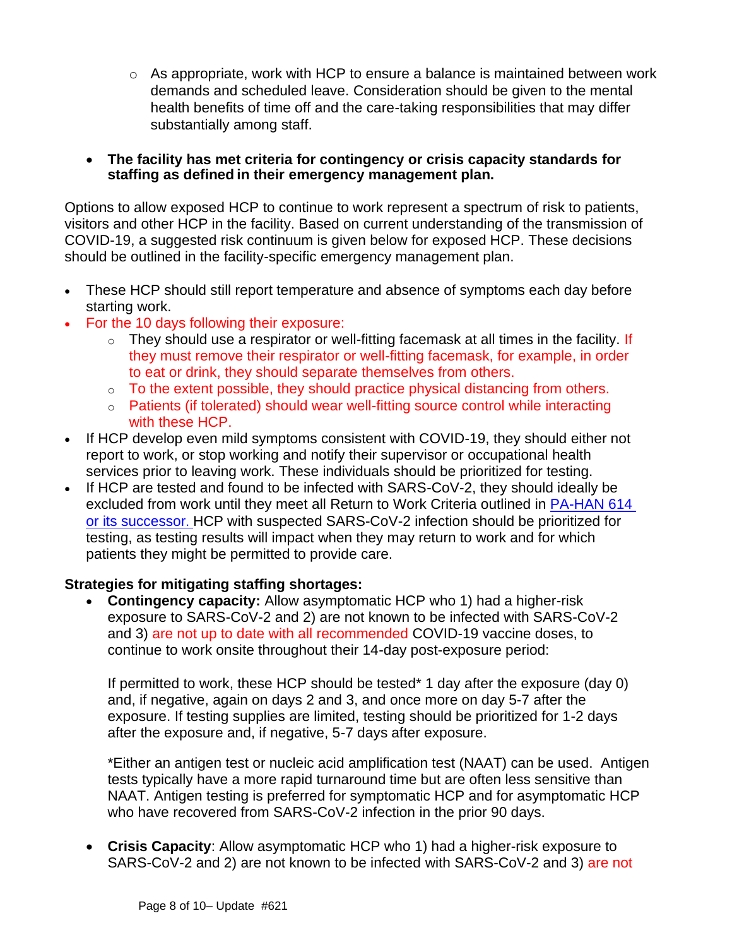- o As appropriate, work with HCP to ensure a balance is maintained between work demands and scheduled leave. Consideration should be given to the mental health benefits of time off and the care-taking responsibilities that may differ substantially among staff.
- **The facility has met criteria for contingency or crisis capacity standards for staffing as defined in their emergency management plan.**

Options to allow exposed HCP to continue to work represent a spectrum of risk to patients, visitors and other HCP in the facility. Based on current understanding of the transmission of COVID-19, a suggested risk continuum is given below for exposed HCP. These decisions should be outlined in the facility-specific emergency management plan.

- These HCP should still report temperature and absence of symptoms each day before starting work.
- For the 10 days following their exposure:
	- $\circ$  They should use a respirator or well-fitting facemask at all times in the facility. If they must remove their respirator or well-fitting facemask, for example, in order to eat or drink, they should separate themselves from others.
	- $\circ$  To the extent possible, they should practice physical distancing from others.
	- o Patients (if tolerated) should wear well-fitting source control while interacting with these HCP.
- If HCP develop even mild symptoms consistent with COVID-19, they should either not report to work, or stop working and notify their supervisor or occupational health services prior to leaving work. These individuals should be prioritized for testing.
- If HCP are tested and found to be infected with SARS-CoV-2, they should ideally be excluded from work until they meet all [Return to Work Criteria](https://www.cdc.gov/coronavirus/2019-ncov/hcp/guidance-risk-assesment-hcp.html) outlined in [PA-HAN 614](https://www.health.pa.gov/topics/Documents/HAN/2021-PAHAN-614-12-28-UPD-Return_Work%20HCP_b.pdf) [or its successor](https://www.health.pa.gov/topics/Documents/HAN/2021-PAHAN-614-12-28-UPD-Return_Work%20HCP_b.pdf). HCP with suspected SARS-CoV-2 infection should be prioritized for testing, as testing results will impact when they may return to work and for which patients they might be permitted to provide care.

### **Strategies for mitigating staffing shortages:**

• **Contingency capacity:** Allow asymptomatic HCP who 1) had a higher-risk exposure to SARS-CoV-2 and 2) are not known to be infected with SARS-CoV-2 and 3) are not up to date with all recommended COVID-19 vaccine doses, to continue to work onsite throughout their 14-day post-exposure period:

If permitted to work, these HCP should be tested\* 1 day after the exposure (day 0) and, if negative, again on days 2 and 3, and once more on day 5-7 after the exposure. If testing supplies are limited, testing should be prioritized for 1-2 days after the exposure and, if negative, 5-7 days after exposure.

\*Either an antigen test or nucleic acid amplification test (NAAT) can be used. Antigen tests typically have a more rapid turnaround time but are often less sensitive than NAAT. Antigen testing is preferred for symptomatic HCP and for asymptomatic HCP who have recovered from SARS-CoV-2 infection in the prior 90 days.

• **Crisis Capacity**: Allow asymptomatic HCP who 1) had a higher-risk exposure to SARS-CoV-2 and 2) are not known to be infected with SARS-CoV-2 and 3) are not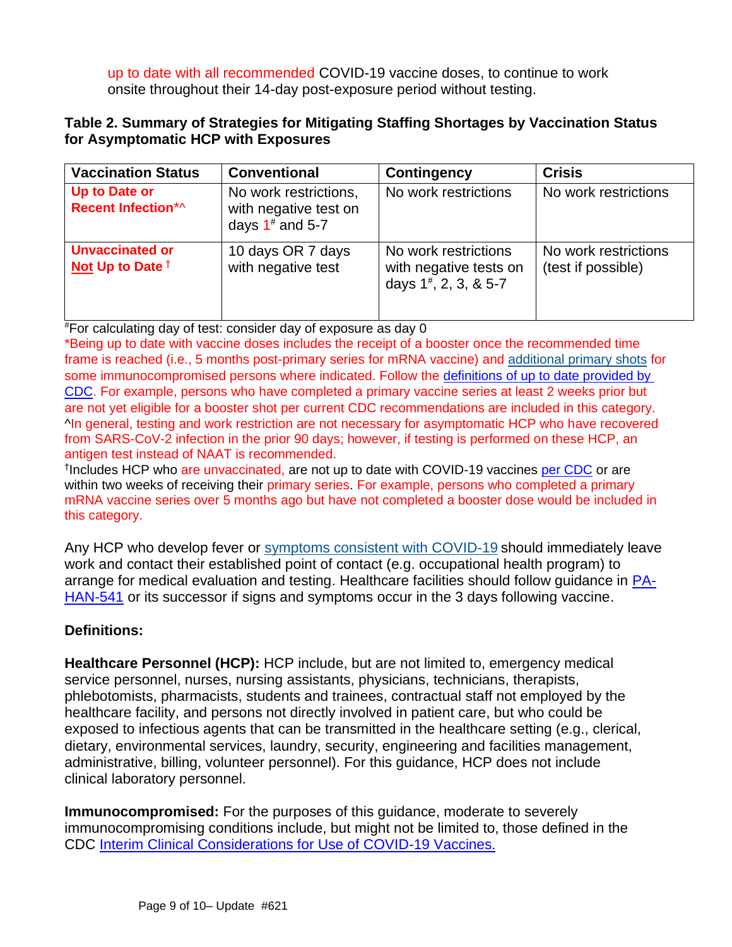up to date with all recommended COVID-19 vaccine doses, to continue to work onsite throughout their 14-day post-exposure period without testing.

### <span id="page-8-1"></span>**Table 2. Summary of Strategies for Mitigating Staffing Shortages by Vaccination Status for Asymptomatic HCP with Exposures**

| <b>Vaccination Status</b>                    | <b>Conventional</b>                                                  | Contingency                                                                   | <b>Crisis</b>                              |
|----------------------------------------------|----------------------------------------------------------------------|-------------------------------------------------------------------------------|--------------------------------------------|
| Up to Date or<br>Recent Infection*^          | No work restrictions,<br>with negative test on<br>days $1^*$ and 5-7 | No work restrictions                                                          | No work restrictions                       |
| <b>Unvaccinated or</b><br>Not Up to Date $†$ | 10 days OR 7 days<br>with negative test                              | No work restrictions<br>with negative tests on<br>days $1^{\#}$ , 2, 3, & 5-7 | No work restrictions<br>(test if possible) |

#For calculating day of test: consider day of exposure as day 0

\*Being up to date with vaccine doses includes the receipt of a booster once the recommended time frame is reached (i.e., 5 months post-primary series for mRNA vaccine) and [additional primary shots](https://www.cdc.gov/coronavirus/2019-ncov/vaccines/recommendations/immuno.html) for some immunocompromised persons where indicated. Follow the [definitions of up to date provided by](https://www.cdc.gov/coronavirus/2019-ncov/vaccines/stay-up-to-date.html)  [CDC.](https://www.cdc.gov/coronavirus/2019-ncov/vaccines/stay-up-to-date.html) For example, persons who have completed a primary vaccine series at least 2 weeks prior but are not yet eligible for a booster shot per current CDC recommendations are included in this category. ^In general, testing and work restriction are not necessary for asymptomatic HCP who have recovered from SARS-CoV-2 infection in the prior 90 days; however, if testing is performed on these HCP, an antigen test instead of NAAT is recommended.

<sup>†</sup>Includes HCP who are unvaccinated, are not up to date with COVID-19 vaccines [per CDC](https://www.cdc.gov/coronavirus/2019-ncov/vaccines/stay-up-to-date.html) or are within two weeks of receiving their primary series. For example, persons who completed a primary mRNA vaccine series over 5 months ago but have not completed a booster dose would be included in this category.

Any HCP who develop fever or [symptoms consistent with COVID-19](https://www.cdc.gov/coronavirus/2019-ncov/symptoms-testing/symptoms.html) should immediately leave work and contact their established point of contact (e.g. occupational health program) to arrange for medical evaluation and testing. Healthcare facilities should follow guidance in [PA-](https://www.health.pa.gov/topics/Documents/HAN/2020-PAHAN-541-%20HCP%20Post%20Vaccine%20IPC.pdf)[HAN-541](https://www.health.pa.gov/topics/Documents/HAN/2020-PAHAN-541-%20HCP%20Post%20Vaccine%20IPC.pdf) or its successor if signs and symptoms occur in the 3 days following vaccine.

## **Definitions:**

**Healthcare Personnel (HCP):** HCP include, but are not limited to, emergency medical service personnel, nurses, nursing assistants, physicians, technicians, therapists, phlebotomists, pharmacists, students and trainees, contractual staff not employed by the healthcare facility, and persons not directly involved in patient care, but who could be exposed to infectious agents that can be transmitted in the healthcare setting (e.g., clerical, dietary, environmental services, laundry, security, engineering and facilities management, administrative, billing, volunteer personnel). For this guidance, HCP does not include clinical laboratory personnel.

<span id="page-8-0"></span>**Immunocompromised:** For the purposes of this guidance, moderate to severely immunocompromising conditions include, but might not be limited to, those defined in the CDC [Interim Clinical Considerations for Use of COVID-19 Vaccines](https://www.cdc.gov/vaccines/covid-19/clinical-considerations/covid-19-vaccines-us.html?CDC_AA_refVal=https%3A%2F%2Fwww.cdc.gov%2Fvaccines%2Fcovid-19%2Finfo-by-product%2Fclinical-considerations.html#considerations-additional-vaccine-dose).